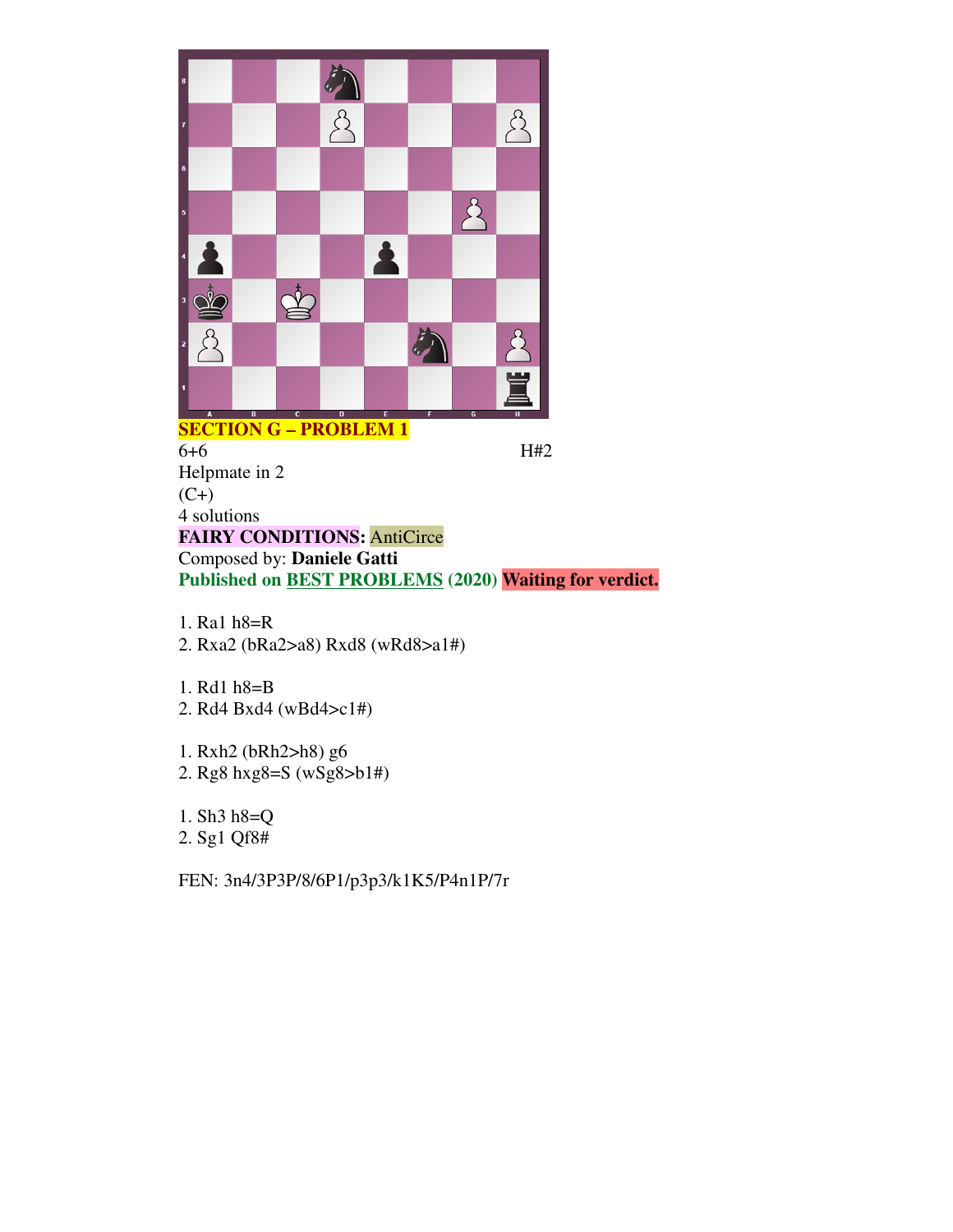

**SECTION G – PROBLEM 1** 6+6 H#2 Helpmate in 2  $(C+)$ 4 solutions **FAIRY CONDITIONS:** AntiCirce Composed by: **Daniele Gatti Published on BEST PROBLEMS (2020) Waiting for verdict.**

- 1. Ra1 h8=R 2. Rxa2 (bRa2>a8) Rxd8 (wRd8>a1#)
- 1. Rd1 h8=B
- 2. Rd4 Bxd4 (wBd4>c1#)
- 1. Rxh2 (bRh2>h8) g6
- 2. Rg8 hxg8=S (wSg8>b1#)
- 1. Sh3 h8=Q
- 2. Sg1 Qf8#
- FEN: 3n4/3P3P/8/6P1/p3p3/k1K5/P4n1P/7r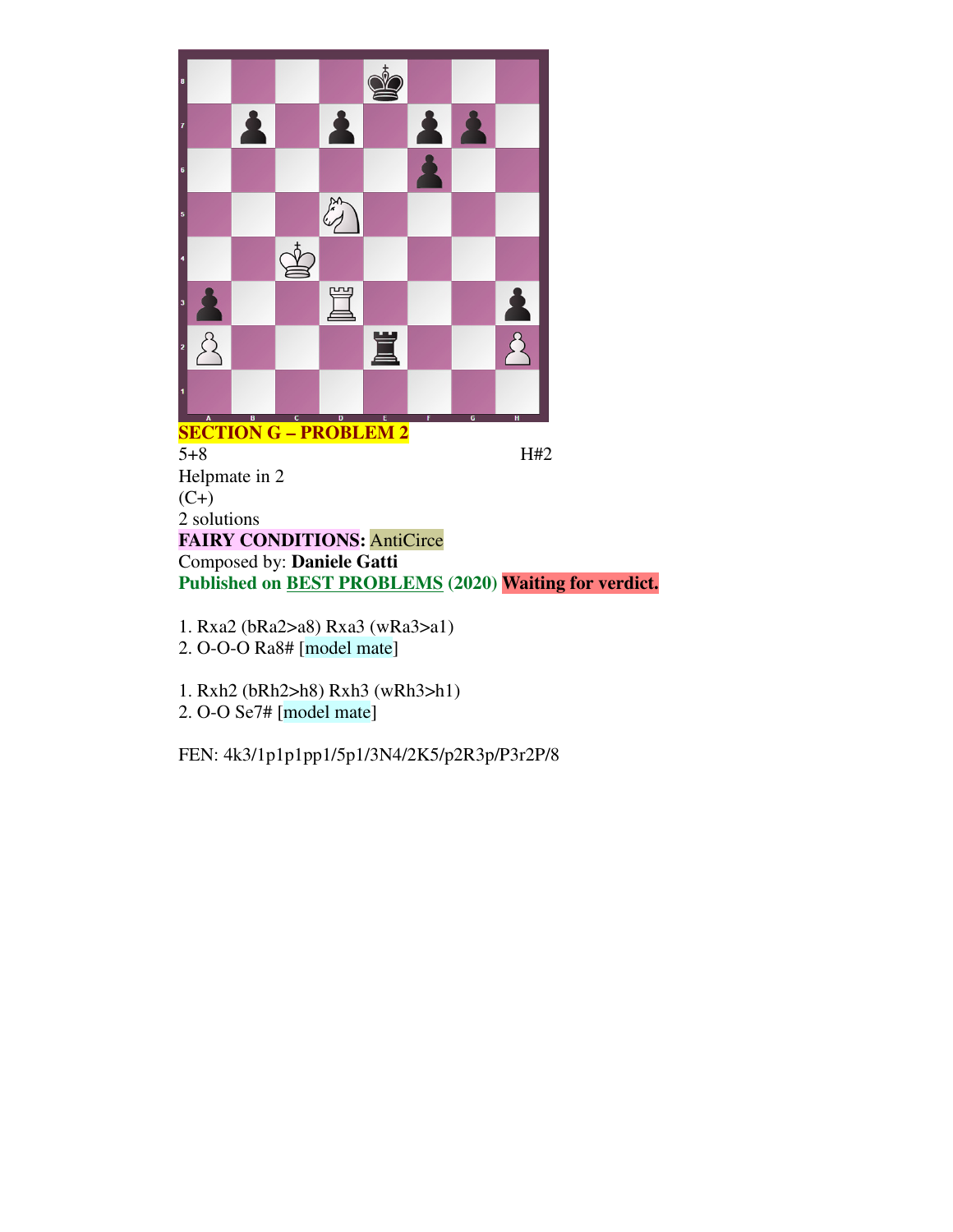

**SECTION G – PROBLEM 2** 5+8 H#2 Helpmate in 2  $(C+)$ 2 solutions **FAIRY CONDITIONS:** AntiCirce Composed by: **Daniele Gatti Published on BEST PROBLEMS (2020) Waiting for verdict.**

- 1. Rxa2 (bRa2>a8) Rxa3 (wRa3>a1) 2. O-O-O Ra8# [model mate]
- 1. Rxh2 (bRh2>h8) Rxh3 (wRh3>h1) 2. O-O Se7# [model mate]

FEN: 4k3/1p1p1pp1/5p1/3N4/2K5/p2R3p/P3r2P/8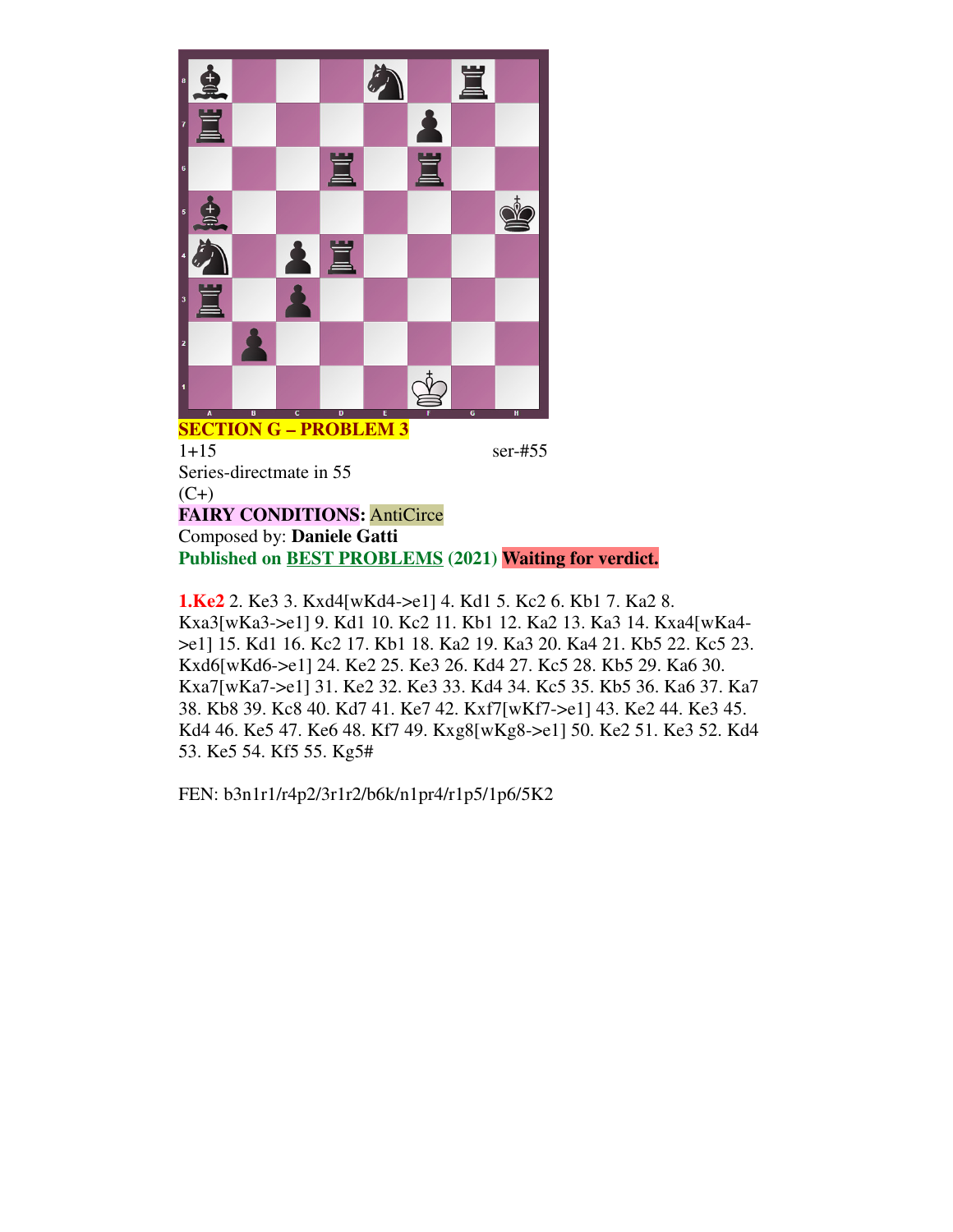

**SECTION G – PROBLEM 3** 1+15 ser-#55 Series-directmate in 55  $(C+)$ **FAIRY CONDITIONS:** AntiCirce Composed by: **Daniele Gatti Published on BEST PROBLEMS (2021) Waiting for verdict.**

**1.Ke2** 2. Ke3 3. Kxd4[wKd4->e1] 4. Kd1 5. Kc2 6. Kb1 7. Ka2 8. Kxa3[wKa3->e1] 9. Kd1 10. Kc2 11. Kb1 12. Ka2 13. Ka3 14. Kxa4[wKa4- >e1] 15. Kd1 16. Kc2 17. Kb1 18. Ka2 19. Ka3 20. Ka4 21. Kb5 22. Kc5 23. Kxd6[wKd6->e1] 24. Ke2 25. Ke3 26. Kd4 27. Kc5 28. Kb5 29. Ka6 30. Kxa7[wKa7->e1] 31. Ke2 32. Ke3 33. Kd4 34. Kc5 35. Kb5 36. Ka6 37. Ka7 38. Kb8 39. Kc8 40. Kd7 41. Ke7 42. Kxf7[wKf7->e1] 43. Ke2 44. Ke3 45. Kd4 46. Ke5 47. Ke6 48. Kf7 49. Kxg8[wKg8->e1] 50. Ke2 51. Ke3 52. Kd4 53. Ke5 54. Kf5 55. Kg5#

FEN: b3n1r1/r4p2/3r1r2/b6k/n1pr4/r1p5/1p6/5K2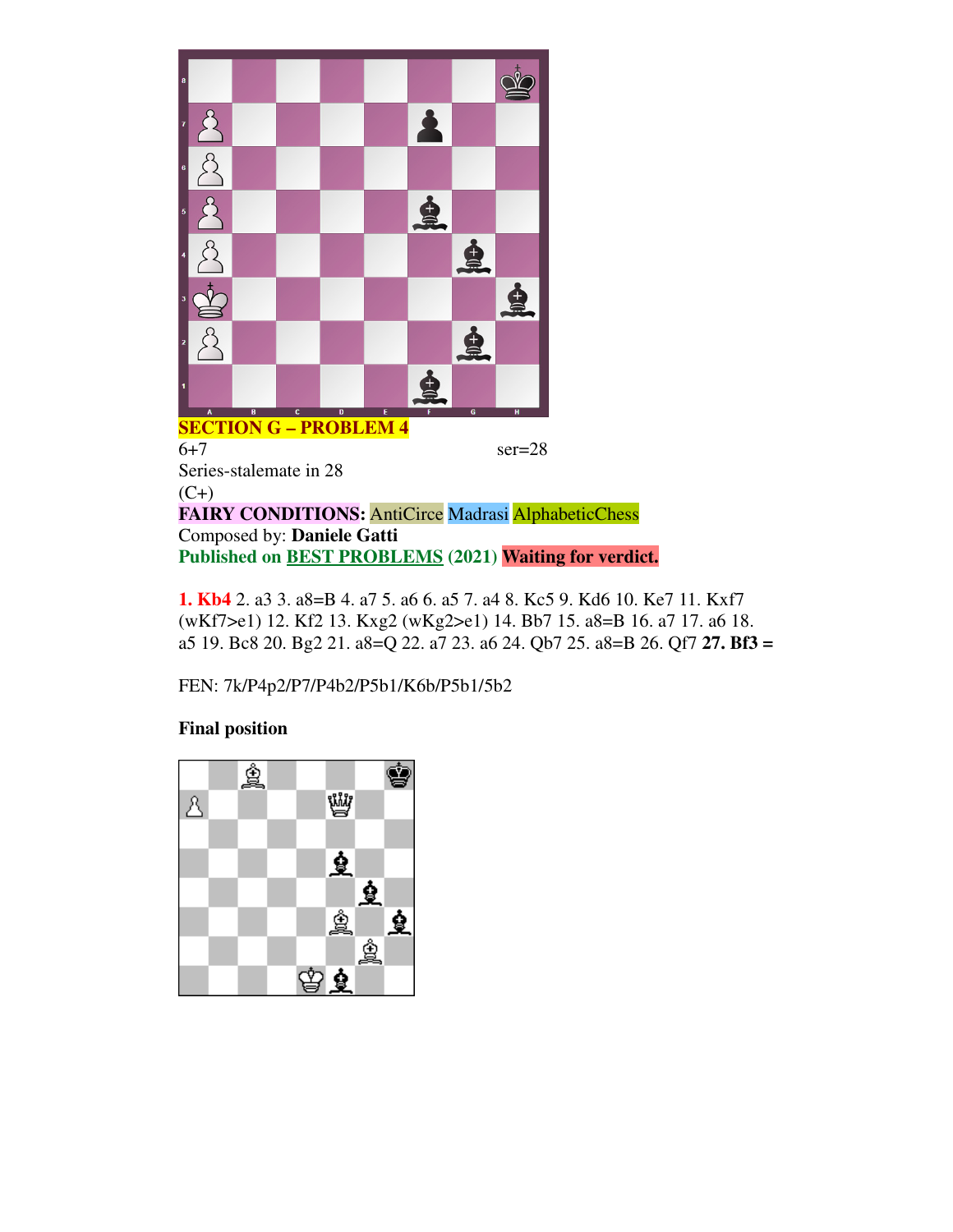

6+7 ser=28 Series-stalemate in 28  $(C+)$ **FAIRY CONDITIONS:** AntiCirce Madrasi AlphabeticChess Composed by: **Daniele Gatti Published on BEST PROBLEMS (2021) Waiting for verdict.**

**1. Kb4** 2. a3 3. a8=B 4. a7 5. a6 6. a5 7. a4 8. Kc5 9. Kd6 10. Ke7 11. Kxf7 (wKf7>e1) 12. Kf2 13. Kxg2 (wKg2>e1) 14. Bb7 15. a8=B 16. a7 17. a6 18. a5 19. Bc8 20. Bg2 21. a8=Q 22. a7 23. a6 24. Qb7 25. a8=B 26. Qf7 **27. Bf3 =**

FEN: 7k/P4p2/P7/P4b2/P5b1/K6b/P5b1/5b2

## **Final position**

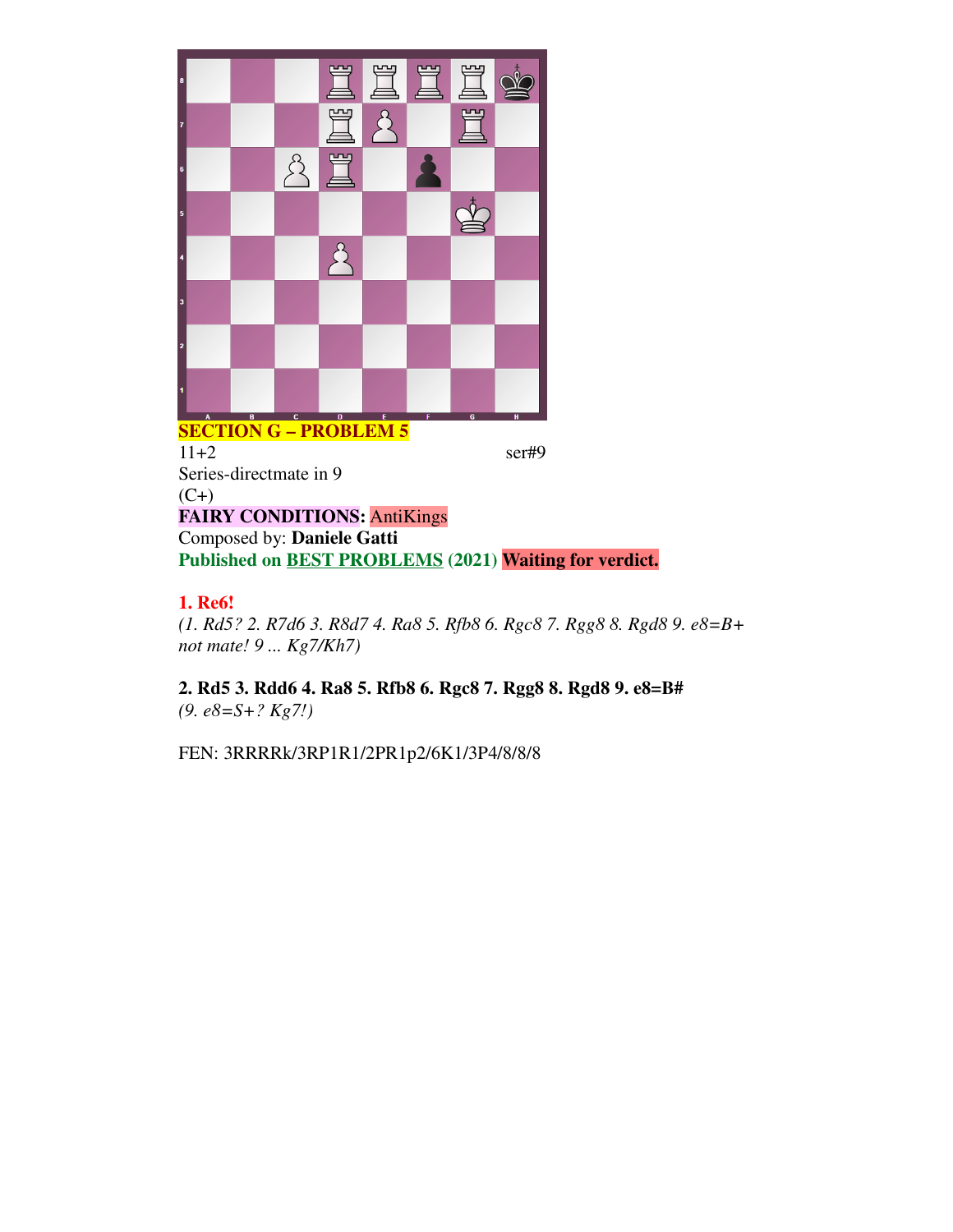

## **SECTION G – PROBLEM 5** 11+2 ser#9 Series-directmate in 9  $(C+)$ **FAIRY CONDITIONS:** AntiKings Composed by: **Daniele Gatti Published on BEST PROBLEMS (2021) Waiting for verdict.**

## **1. Re6!**

*(1. Rd5? 2. R7d6 3. R8d7 4. Ra8 5. Rfb8 6. Rgc8 7. Rgg8 8. Rgd8 9. e8=B+ not mate! 9 ... Kg7/Kh7)*

**2. Rd5 3. Rdd6 4. Ra8 5. Rfb8 6. Rgc8 7. Rgg8 8. Rgd8 9. e8=B#** *(9. e8=S+? Kg7!)*

FEN: 3RRRRk/3RP1R1/2PR1p2/6K1/3P4/8/8/8